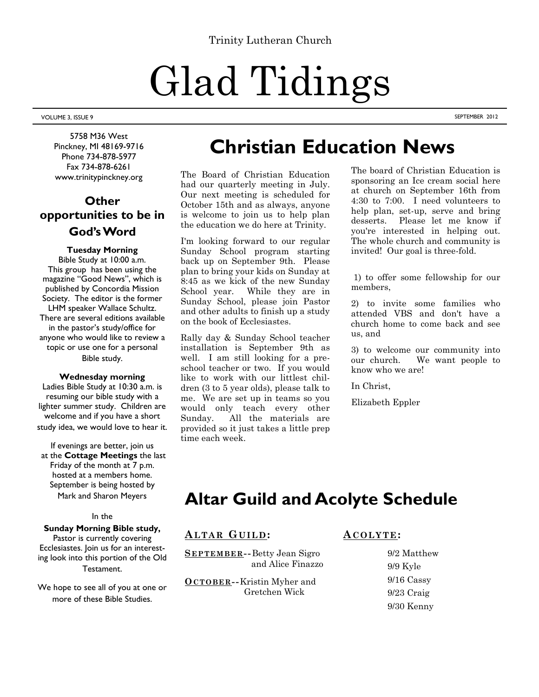# Glad Tidings

VOLUME 3, ISSUE 9 SEPTEMBER 2012

5758 M36 West Pinckney, MI 48169-9716 Phone 734-878-5977 Fax 734-878-6261 www.trinitypinckney.org

# **Other opportunities to be in God's Word**

# **Tuesday Morning**

Bible Study at 10:00 a.m. This group has been using the magazine "Good News", which is published by Concordia Mission Society. The editor is the former LHM speaker Wallace Schultz. There are several editions available in the pastor's study/office for anyone who would like to review a topic or use one for a personal Bible study.

## **Wednesday morning**

Ladies Bible Study at 10:30 a.m. is resuming our bible study with a lighter summer study. Children are welcome and if you have a short study idea, we would love to hear it.

If evenings are better, join us at the **Cottage Meetings** the last Friday of the month at 7 p.m. hosted at a members home. September is being hosted by Mark and Sharon Meyers

## In the

## **Sunday Morning Bible study,**

Pastor is currently covering Ecclesiastes. Join us for an interesting look into this portion of the Old Testament.

We hope to see all of you at one or more of these Bible Studies.

# **Christian Education News**

The Board of Christian Education had our quarterly meeting in July. Our next meeting is scheduled for October 15th and as always, anyone is welcome to join us to help plan the education we do here at Trinity.

I'm looking forward to our regular Sunday School program starting back up on September 9th. Please plan to bring your kids on Sunday at 8:45 as we kick of the new Sunday School year. While they are in Sunday School, please join Pastor and other adults to finish up a study on the book of Ecclesiastes.

Rally day & Sunday School teacher installation is September 9th as well. I am still looking for a preschool teacher or two. If you would like to work with our littlest children (3 to 5 year olds), please talk to me. We are set up in teams so you would only teach every other Sunday. All the materials are provided so it just takes a little prep time each week.

The board of Christian Education is sponsoring an Ice cream social here at church on September 16th from 4:30 to 7:00. I need volunteers to help plan, set-up, serve and bring desserts. Please let me know if you're interested in helping out. The whole church and community is invited! Our goal is three-fold.

1) to offer some fellowship for our members,

2) to invite some families who attended VBS and don't have a church home to come back and see us, and

3) to welcome our community into our church. We want people to know who we are!

In Christ,

Elizabeth Eppler

# **Altar Guild and Acolyte Schedule**

# **ALTAR GUILD :**

**S EPTEMBER --**Betty Jean Sigro and Alice Finazzo

**OCTOBER --**Kristin Myher and Gretchen Wick

**A COLYTE:**

 9/2 Matthew 9/9 Kyle 9/16 Cassy 9/23 Craig 9/30 Kenny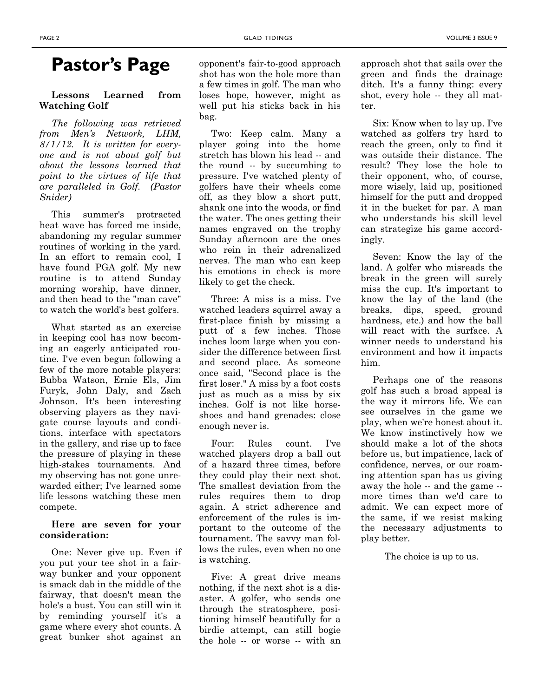# **Lessons Learned from Watching Golf**

*The following was retrieved from Men's Network, LHM, 8/1/12. It is written for everyone and is not about golf but about the lessons learned that point to the virtues of life that are paralleled in Golf. (Pastor Snider)*

This summer's protracted heat wave has forced me inside, abandoning my regular summer routines of working in the yard. In an effort to remain cool, I have found PGA golf. My new routine is to attend Sunday morning worship, have dinner, and then head to the "man cave" to watch the world's best golfers.

What started as an exercise in keeping cool has now becoming an eagerly anticipated routine. I've even begun following a few of the more notable players: Bubba Watson, Ernie Els, Jim Furyk, John Daly, and Zach Johnson. It's been interesting observing players as they navigate course layouts and conditions, interface with spectators in the gallery, and rise up to face the pressure of playing in these high-stakes tournaments. And my observing has not gone unrewarded either; I've learned some life lessons watching these men compete.

## **Here are seven for your consideration:**

One: Never give up. Even if you put your tee shot in a fairway bunker and your opponent is smack dab in the middle of the fairway, that doesn't mean the hole's a bust. You can still win it by reminding yourself it's a game where every shot counts. A great bunker shot against an

**Pastor's Page** opponent's fair-to-good approach shot has won the hole more than a few times in golf. The man who loses hope, however, might as well put his sticks back in his bag.

> Two: Keep calm. Many a player going into the home stretch has blown his lead -- and the round -- by succumbing to pressure. I've watched plenty of golfers have their wheels come off, as they blow a short putt, shank one into the woods, or find the water. The ones getting their names engraved on the trophy Sunday afternoon are the ones who rein in their adrenalized nerves. The man who can keep his emotions in check is more likely to get the check.

> Three: A miss is a miss. I've watched leaders squirrel away a first-place finish by missing a putt of a few inches. Those inches loom large when you consider the difference between first and second place. As someone once said, "Second place is the first loser." A miss by a foot costs just as much as a miss by six inches. Golf is not like horseshoes and hand grenades: close enough never is.

> Four: Rules count. I've watched players drop a ball out of a hazard three times, before they could play their next shot. The smallest deviation from the rules requires them to drop again. A strict adherence and enforcement of the rules is important to the outcome of the tournament. The savvy man follows the rules, even when no one is watching.

> Five: A great drive means nothing, if the next shot is a disaster. A golfer, who sends one through the stratosphere, positioning himself beautifully for a birdie attempt, can still bogie the hole -- or worse -- with an

approach shot that sails over the green and finds the drainage ditch. It's a funny thing: every shot, every hole -- they all matter.

Six: Know when to lay up. I've watched as golfers try hard to reach the green, only to find it was outside their distance. The result? They lose the hole to their opponent, who, of course, more wisely, laid up, positioned himself for the putt and dropped it in the bucket for par. A man who understands his skill level can strategize his game accordingly.

Seven: Know the lay of the land. A golfer who misreads the break in the green will surely miss the cup. It's important to know the lay of the land (the breaks, dips, speed, ground hardness, etc.) and how the ball will react with the surface. A winner needs to understand his environment and how it impacts him.

Perhaps one of the reasons golf has such a broad appeal is the way it mirrors life. We can see ourselves in the game we play, when we're honest about it. We know instinctively how we should make a lot of the shots before us, but impatience, lack of confidence, nerves, or our roaming attention span has us giving away the hole -- and the game - more times than we'd care to admit. We can expect more of the same, if we resist making the necessary adjustments to play better.

The choice is up to us.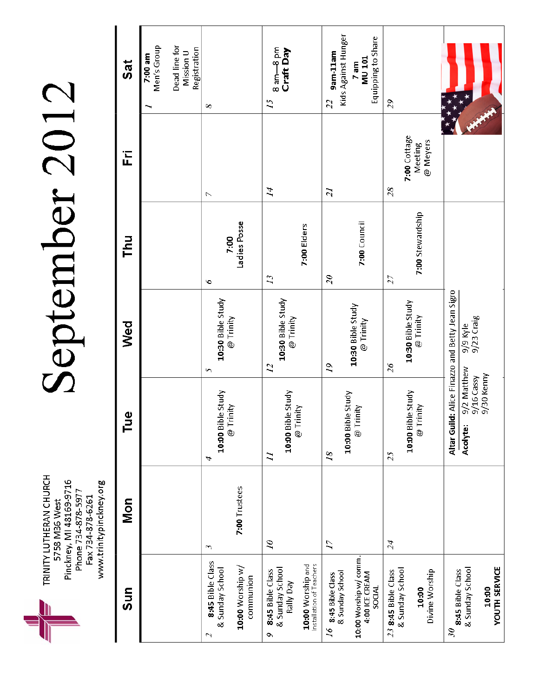Pinckney, MI 48169-9716<br>Phone 734-878-5977<br>Fax 734-878-6261<br>www.trinitypinckney.org TRINITY LUTHERAN CHURCH 5758 M36 West

# September 2012

| Sat                          | Dead line for<br>Men's Group<br>Registration<br>Mission U<br>7:00 am | $\infty$                                                                                      | 8 am-8 pm<br>Craft Day<br>$\mathcal{L}$                                                                 | Kids Against Hunger<br>Equipping to Share<br>9am-11am<br><b>MU101</b><br>7 am<br>22                   | 29                                                                |                                                                                       |
|------------------------------|----------------------------------------------------------------------|-----------------------------------------------------------------------------------------------|---------------------------------------------------------------------------------------------------------|-------------------------------------------------------------------------------------------------------|-------------------------------------------------------------------|---------------------------------------------------------------------------------------|
| Ë                            |                                                                      | N                                                                                             | $\vec{A}$                                                                                               | $\overline{z}$                                                                                        | 7:00 Cottage<br>@ Meyers<br>Meeting<br>28                         |                                                                                       |
| <b>Thu</b>                   |                                                                      | Ladies Posse<br>7:00<br>ó                                                                     | 7:00 Elders<br>23                                                                                       | 7:00 Council<br>$\mathcal{Z}$                                                                         | 7:00 Stewardship<br>27                                            |                                                                                       |
| Wed                          |                                                                      | 10:30 Bible Study<br>@ Trinity<br>S                                                           | 10:30 Bible Study<br>@ Trinity<br>22                                                                    | 10:30 Bible Study<br>@ Trinity<br>$\tilde{\sigma}$                                                    | 10:30 Bible Study<br>@ Trinity<br>$\overline{\mathcal{Z}}$ 6      | d: Alice Finazzo and Betty Jean Sigro<br>9/9 Kyle<br>9/23 Craig                       |
| $\overline{\mathbf{v}}$<br>른 |                                                                      | 10:00 Bible Study<br>@ Trinity<br>Α                                                           | 10:00 Bible Study<br>@ Trinity<br>Ξ                                                                     | 10:00 Bible Study<br>@ Trinity<br>$\overline{18}$                                                     | 10:00 Bible Study<br>@ Trinity<br>25                              | 9/2 Matthew<br>9/30 Kenny<br>9/16 Cassy<br>Altar Guil<br>Acolyte:                     |
| Mon                          |                                                                      | 7:00 Trustees<br>$\sim$                                                                       | $\tilde{\sigma}$                                                                                        | 71                                                                                                    | 24                                                                |                                                                                       |
| Sun                          |                                                                      | 8:45 Bible Class<br>10:00 Worship w/<br>& Sunday School<br>communion<br>$\boldsymbol{\omega}$ | Installation of Teachers<br>10:00 Worship and<br>& Sunday School<br>8:45 Bible Class<br>keg Alley<br>Ō, | 10:00 Worship w/ comm.<br>& Sunday School<br>4:00 ICE CREAM<br>8:45 Bible Class<br><b>RIDOS</b><br>97 | & Sunday School<br>Divine Worship<br>23 8:45 Bible Class<br>10:00 | <b>YOUTH SERVICE</b><br>& Sunday School<br>8:45 Bible Class<br>10:00<br>$\mathcal{S}$ |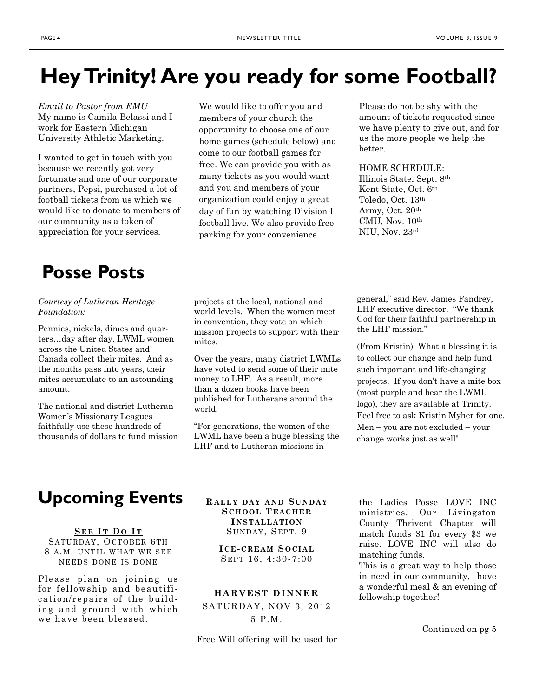# **Hey Trinity! Are you ready for some Football?**

*Email to Pastor from EMU* My name is Camila Belassi and I work for Eastern Michigan University Athletic Marketing.

I wanted to get in touch with you because we recently got very fortunate and one of our corporate partners, Pepsi, purchased a lot of football tickets from us which we would like to donate to members of our community as a token of appreciation for your services.

We would like to offer you and members of your church the opportunity to choose one of our home games (schedule below) and come to our football games for free. We can provide you with as many tickets as you would want and you and members of your organization could enjoy a great day of fun by watching Division I football live. We also provide free parking for your convenience.

Please do not be shy with the amount of tickets requested since we have plenty to give out, and for us the more people we help the better.

HOME SCHEDULE:

Illinois State, Sept. 8th Kent State, Oct. 6th Toledo, Oct. 13th Army, Oct. 20th CMU, Nov. 10th NIU, Nov. 23rd

# **Posse Posts**

*Courtesy of Lutheran Heritage Foundation:*

Pennies, nickels, dimes and quarters…day after day, LWML women across the United States and Canada collect their mites. And as the months pass into years, their mites accumulate to an astounding amount.

The national and district Lutheran Women's Missionary Leagues faithfully use these hundreds of thousands of dollars to fund mission projects at the local, national and world levels. When the women meet in convention, they vote on which mission projects to support with their mites.

Over the years, many district LWMLs have voted to send some of their mite money to LHF. As a result, more than a dozen books have been published for Lutherans around the world.

"For generations, the women of the LWML have been a huge blessing the LHF and to Lutheran missions in

general," said Rev. James Fandrey, LHF executive director. "We thank God for their faithful partnership in the LHF mission."

(From Kristin) What a blessing it is to collect our change and help fund such important and life-changing projects. If you don't have a mite box (most purple and bear the LWML logo), they are available at Trinity. Feel free to ask Kristin Myher for one. Men – you are not excluded – your change works just as well!

# **Upcoming Events** RALLY DAY AND SUNDAY the Ladies Posse LOVE INC

**S EE I T DO I T** SATURDAY, OCTOBER 6TH 8 A.M. UNTIL WHAT WE SEE NEEDS DONE IS DONE

Please plan on joining us for fellowship and beautification/repairs of the building and ground with which we have been blessed.

**R ALLY DAY AND S UNDAY S CHOOL T EACHER I NSTALLATION** SUNDAY, SEPT. 9

> **I CE- CREAM S OCIAL** S EPT 16, 4:30-7:00

### **HARVEST DINNER**

SATURDAY, NOV 3, 2012 5 P.M.

Free Will offering will be used for

ministries. Our Livingston County Thrivent Chapter will match funds \$1 for every \$3 we raise. LOVE INC will also do matching funds.

This is a great way to help those in need in our community, have a wonderful meal & an evening of fellowship together!

Continued on pg 5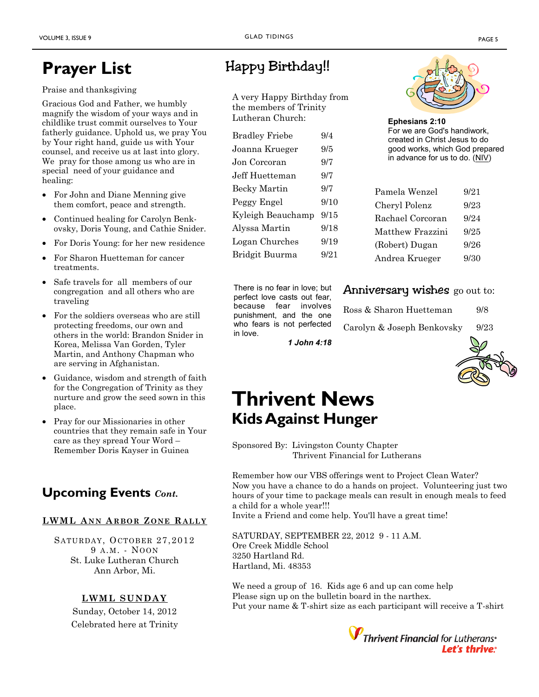# **Prayer List** Happy Birthday!!

# Praise and thanksgiving

Gracious God and Father, we humbly magnify the wisdom of your ways and in childlike trust commit ourselves to Your fatherly guidance. Uphold us, we pray You by Your right hand, guide us with Your counsel, and receive us at last into glory. We pray for those among us who are in special need of your guidance and healing:

- For John and Diane Menning give them comfort, peace and strength.
- Continued healing for Carolyn Benkovsky, Doris Young, and Cathie Snider.
- For Doris Young: for her new residence
- For Sharon Huetteman for cancer treatments.
- Safe travels for all members of our congregation and all others who are traveling
- For the soldiers overseas who are still protecting freedoms, our own and others in the world: Brandon Snider in Korea, Melissa Van Gorden, Tyler Martin, and Anthony Chapman who are serving in Afghanistan.
- Guidance, wisdom and strength of faith for the Congregation of Trinity as they nurture and grow the seed sown in this place.
- Pray for our Missionaries in other countries that they remain safe in Your care as they spread Your Word – Remember Doris Kayser in Guinea

# **Upcoming Events** *Cont.*

# **LWML A NN A RBOR Z ONE RALLY**

S ATURDAY, OCTOBER 27,2012 9 A.M. - NOON St. Luke Lutheran Church Ann Arbor, Mi.

# **LWML SUNDAY**

Sunday, October 14, 2012 Celebrated here at Trinity

A very Happy Birthday from the members of Trinity Lutheran Church:

| <b>Bradley Friebe</b> | 9/4  |
|-----------------------|------|
| Joanna Krueger        | 9/5  |
| Jon Corcoran          | 9/7  |
| Jeff Huetteman        | 9/7  |
| <b>Becky Martin</b>   | 9/7  |
| Peggy Engel           | 9/10 |
| Kyleigh Beauchamp     | 9/15 |
| Alyssa Martin         | 9/18 |
| Logan Churches        | 9/19 |
| Bridgit Buurma        | 9/21 |
|                       |      |

There is no fear in love; but perfect love casts out fear, because fear involves punishment, and the one who fears is not perfected in love.



**Ephesians 2:10** For we are God's handiwork, created in Christ Jesus to do good works, which God prepared in advance for us to do. [\(NIV\)](http://christianity.about.com/od/faqhelpdesk/p/newinternationa.htm)

| Pamela Wenzel    | 9/21 |
|------------------|------|
| Cheryl Polenz    | 9/23 |
| Rachael Corcoran | 9/24 |
| Matthew Frazzini | 9/25 |
| (Robert) Dugan   | 9/26 |
| Andrea Krueger   | 9/30 |

# Anniversary wishes go out to:

| Ross & Sharon Huetteman    | 9/8  |
|----------------------------|------|
| Carolyn & Joseph Benkovsky | 9/23 |





# **Thrivent News Kids Against Hunger**

Sponsored By: Livingston County Chapter Thrivent Financial for Lutherans

Remember how our VBS offerings went to Project Clean Water? Now you have a chance to do a hands on project. Volunteering just two hours of your time to package meals can result in enough meals to feed a child for a whole year!!!

Invite a Friend and come help. You'll have a great time!

SATURDAY, SEPTEMBER 22, 2012 9 - 11 A.M. Ore Creek Middle School 3250 Hartland Rd. Hartland, Mi. 48353

We need a group of 16. Kids age 6 and up can come help Please sign up on the bulletin board in the narthex. Put your name & T-shirt size as each participant will receive a T-shirt